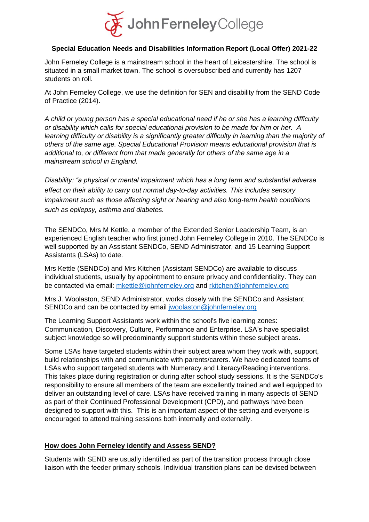

#### **Special Education Needs and Disabilities Information Report (Local Offer) 2021-22**

John Ferneley College is a mainstream school in the heart of Leicestershire. The school is situated in a small market town. The school is oversubscribed and currently has 1207 students on roll.

At John Ferneley College, we use the definition for SEN and disability from the SEND Code of Practice (2014).

*A child or young person has a special educational need if he or she has a learning difficulty or disability which calls for special educational provision to be made for him or her. A learning difficulty or disability is a significantly greater difficulty in learning than the majority of others of the same age. Special Educational Provision means educational provision that is additional to, or different from that made generally for others of the same age in a mainstream school in England.* 

*Disability: "a physical or mental impairment which has a long term and substantial adverse effect on their ability to carry out normal day-to-day activities. This includes sensory impairment such as those affecting sight or hearing and also long-term health conditions such as epilepsy, asthma and diabetes.* 

The SENDCo, Mrs M Kettle, a member of the Extended Senior Leadership Team, is an experienced English teacher who first joined John Ferneley College in 2010. The SENDCo is well supported by an Assistant SENDCo, SEND Administrator, and 15 Learning Support Assistants (LSAs) to date.

Mrs Kettle (SENDCo) and Mrs Kitchen (Assistant SENDCo) are available to discuss individual students, usually by appointment to ensure privacy and confidentiality. They can be contacted via email: [mkettle@johnferneley.org](mailto:mkettle@johnferneley.org) and [rkitchen@johnferneley.org](mailto:rkitchen@johnferneley.org)

Mrs J. Woolaston, SEND Administrator, works closely with the SENDCo and Assistant SENDCo and can be contacted by email [jwoolaston@johnferneley.org](mailto:jwoolaston@johnferneley.org)

The Learning Support Assistants work within the school's five learning zones: Communication, Discovery, Culture, Performance and Enterprise. LSA's have specialist subject knowledge so will predominantly support students within these subject areas.

Some LSAs have targeted students within their subject area whom they work with, support, build relationships with and communicate with parents/carers. We have dedicated teams of LSAs who support targeted students with Numeracy and Literacy/Reading interventions. This takes place during registration or during after school study sessions. It is the SENDCo's responsibility to ensure all members of the team are excellently trained and well equipped to deliver an outstanding level of care. LSAs have received training in many aspects of SEND as part of their Continued Professional Development (CPD), and pathways have been designed to support with this. This is an important aspect of the setting and everyone is encouraged to attend training sessions both internally and externally.

#### **How does John Ferneley identify and Assess SEND?**

Students with SEND are usually identified as part of the transition process through close liaison with the feeder primary schools. Individual transition plans can be devised between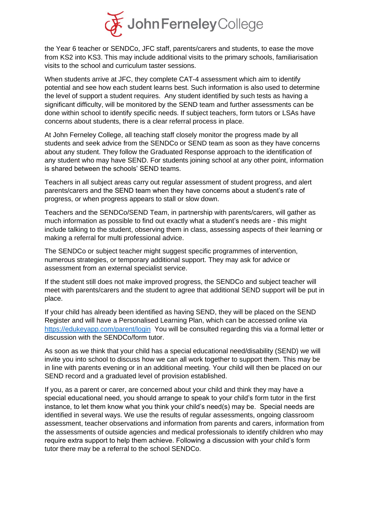

the Year 6 teacher or SENDCo, JFC staff, parents/carers and students, to ease the move from KS2 into KS3. This may include additional visits to the primary schools, familiarisation visits to the school and curriculum taster sessions.

When students arrive at JFC, they complete CAT-4 assessment which aim to identify potential and see how each student learns best. Such information is also used to determine the level of support a student requires. Any student identified by such tests as having a significant difficulty, will be monitored by the SEND team and further assessments can be done within school to identify specific needs. If subject teachers, form tutors or LSAs have concerns about students, there is a clear referral process in place.

At John Ferneley College, all teaching staff closely monitor the progress made by all students and seek advice from the SENDCo or SEND team as soon as they have concerns about any student. They follow the Graduated Response approach to the identification of any student who may have SEND. For students joining school at any other point, information is shared between the schools' SEND teams.

Teachers in all subject areas carry out regular assessment of student progress, and alert parents/carers and the SEND team when they have concerns about a student's rate of progress, or when progress appears to stall or slow down.

Teachers and the SENDCo/SEND Team, in partnership with parents/carers, will gather as much information as possible to find out exactly what a student's needs are - this might include talking to the student, observing them in class, assessing aspects of their learning or making a referral for multi professional advice.

The SENDCo or subject teacher might suggest specific programmes of intervention, numerous strategies, or temporary additional support. They may ask for advice or assessment from an external specialist service.

If the student still does not make improved progress, the SENDCo and subject teacher will meet with parents/carers and the student to agree that additional SEND support will be put in place.

If your child has already been identified as having SEND, they will be placed on the SEND Register and will have a Personalised Learning Plan, which can be accessed online via <https://edukeyapp.com/parent/login>You will be consulted regarding this via a formal letter or discussion with the SENDCo/form tutor.

As soon as we think that your child has a special educational need/disability (SEND) we will invite you into school to discuss how we can all work together to support them. This may be in line with parents evening or in an additional meeting. Your child will then be placed on our SEND record and a graduated level of provision established.

If you, as a parent or carer, are concerned about your child and think they may have a special educational need, you should arrange to speak to your child's form tutor in the first instance, to let them know what you think your child's need(s) may be. Special needs are identified in several ways. We use the results of regular assessments, ongoing classroom assessment, teacher observations and information from parents and carers, information from the assessments of outside agencies and medical professionals to identify children who may require extra support to help them achieve. Following a discussion with your child's form tutor there may be a referral to the school SENDCo.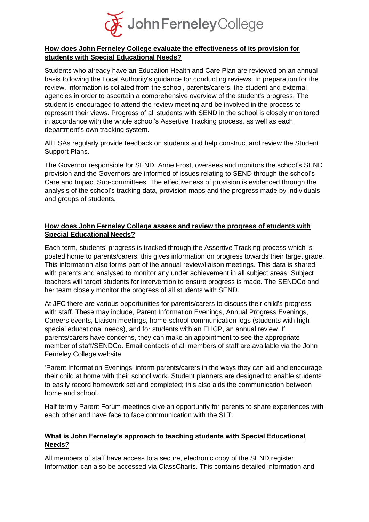

## **How does John Ferneley College evaluate the effectiveness of its provision for students with Special Educational Needs?**

Students who already have an Education Health and Care Plan are reviewed on an annual basis following the Local Authority's guidance for conducting reviews. In preparation for the review, information is collated from the school, parents/carers, the student and external agencies in order to ascertain a comprehensive overview of the student's progress. The student is encouraged to attend the review meeting and be involved in the process to represent their views. Progress of all students with SEND in the school is closely monitored in accordance with the whole school's Assertive Tracking process, as well as each department's own tracking system.

All LSAs regularly provide feedback on students and help construct and review the Student Support Plans.

The Governor responsible for SEND, Anne Frost, oversees and monitors the school's SEND provision and the Governors are informed of issues relating to SEND through the school's Care and Impact Sub-committees. The effectiveness of provision is evidenced through the analysis of the school's tracking data, provision maps and the progress made by individuals and groups of students.

## **How does John Ferneley College assess and review the progress of students with Special Educational Needs?**

Each term, students' progress is tracked through the Assertive Tracking process which is posted home to parents/carers. this gives information on progress towards their target grade. This information also forms part of the annual review/liaison meetings. This data is shared with parents and analysed to monitor any under achievement in all subject areas. Subject teachers will target students for intervention to ensure progress is made. The SENDCo and her team closely monitor the progress of all students with SEND.

At JFC there are various opportunities for parents/carers to discuss their child's progress with staff. These may include, Parent Information Evenings, Annual Progress Evenings, Careers events, Liaison meetings, home-school communication logs (students with high special educational needs), and for students with an EHCP, an annual review. If parents/carers have concerns, they can make an appointment to see the appropriate member of staff/SENDCo. Email contacts of all members of staff are available via the John Ferneley College website.

'Parent Information Evenings' inform parents/carers in the ways they can aid and encourage their child at home with their school work. Student planners are designed to enable students to easily record homework set and completed; this also aids the communication between home and school.

Half termly Parent Forum meetings give an opportunity for parents to share experiences with each other and have face to face communication with the SLT.

## **What is John Ferneley's approach to teaching students with Special Educational Needs?**

All members of staff have access to a secure, electronic copy of the SEND register. Information can also be accessed via ClassCharts. This contains detailed information and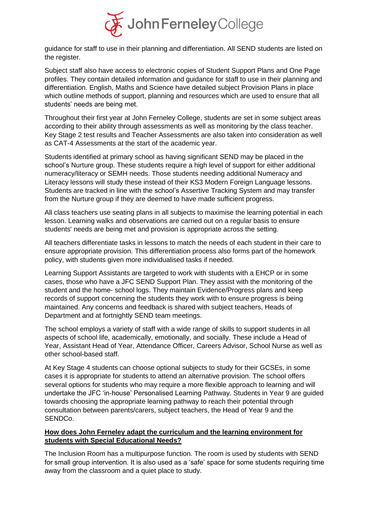

guidance for staff to use in their planning and differentiation. All SEND students are listed on the register.

Subject staff also have access to electronic copies of Student Support Plans and One Page profiles. They contain detailed information and guidance for staff to use in their planning and differentiation. English, Maths and Science have detailed subject Provision Plans in place which outline methods of support, planning and resources which are used to ensure that all students' needs are being met.

Throughout their first year at John Ferneley College, students are set in some subject areas according to their ability through assessments as well as monitoring by the class teacher. Key Stage 2 test results and Teacher Assessments are also taken into consideration as well as CAT-4 Assessments at the start of the academic year.

Students identified at primary school as having significant SEND may be placed in the school's Nurture group. These students require a high level of support for either additional numeracy/literacy or SEMH needs. Those students needing additional Numeracy and Literacy lessons will study these instead of their KS3 Modern Foreign Language lessons. Students are tracked in line with the school's Assertive Tracking System and may transfer from the Nurture group if they are deemed to have made sufficient progress.

All class teachers use seating plans in all subjects to maximise the learning potential in each lesson. Learning walks and observations are carried out on a regular basis to ensure students' needs are being met and provision is appropriate across the setting.

All teachers differentiate tasks in lessons to match the needs of each student in their care to ensure appropriate provision. This differentiation process also forms part of the homework policy, with students given more individualised tasks if needed.

Learning Support Assistants are targeted to work with students with a EHCP or in some cases, those who have a JFC SEND Support Plan. They assist with the monitoring of the student and the home- school logs. They maintain Evidence/Progress plans and keep records of support concerning the students they work with to ensure progress is being maintained. Any concerns and feedback is shared with subject teachers, Heads of Department and at fortnightly SEND team meetings.

The school employs a variety of staff with a wide range of skills to support students in all aspects of school life, academically, emotionally, and socially. These include a Head of Year, Assistant Head of Year, Attendance Officer, Careers Advisor, School Nurse as well as other school-based staff.

At Key Stage 4 students can choose optional subjects to study for their GCSEs, in some cases it is appropriate for students to attend an alternative provision. The school offers several options for students who may require a more flexible approach to learning and will undertake the JFC 'in-house' Personalised Learning Pathway. Students in Year 9 are guided towards choosing the appropriate learning pathway to reach their potential through consultation between parents/carers, subject teachers, the Head of Year 9 and the SENDCo.

# **How does John Ferneley adapt the curriculum and the learning environment for students with Special Educational Needs?**

The Inclusion Room has a multipurpose function. The room is used by students with SEND for small group intervention. It is also used as a 'safe' space for some students requiring time away from the classroom and a quiet place to study.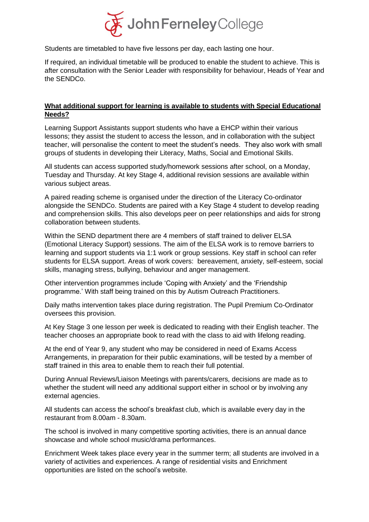

Students are timetabled to have five lessons per day, each lasting one hour.

If required, an individual timetable will be produced to enable the student to achieve. This is after consultation with the Senior Leader with responsibility for behaviour, Heads of Year and the SENDCo.

#### **What additional support for learning is available to students with Special Educational Needs?**

Learning Support Assistants support students who have a EHCP within their various lessons; they assist the student to access the lesson, and in collaboration with the subject teacher, will personalise the content to meet the student's needs. They also work with small groups of students in developing their Literacy, Maths, Social and Emotional Skills.

All students can access supported study/homework sessions after school, on a Monday, Tuesday and Thursday. At key Stage 4, additional revision sessions are available within various subject areas.

A paired reading scheme is organised under the direction of the Literacy Co-ordinator alongside the SENDCo. Students are paired with a Key Stage 4 student to develop reading and comprehension skills. This also develops peer on peer relationships and aids for strong collaboration between students.

Within the SEND department there are 4 members of staff trained to deliver ELSA (Emotional Literacy Support) sessions. The aim of the ELSA work is to remove barriers to learning and support students via 1:1 work or group sessions. Key staff in school can refer students for ELSA support. Areas of work covers: bereavement, anxiety, self-esteem, social skills, managing stress, bullying, behaviour and anger management.

Other intervention programmes include 'Coping with Anxiety' and the 'Friendship programme.' With staff being trained on this by Autism Outreach Practitioners.

Daily maths intervention takes place during registration. The Pupil Premium Co-Ordinator oversees this provision.

At Key Stage 3 one lesson per week is dedicated to reading with their English teacher. The teacher chooses an appropriate book to read with the class to aid with lifelong reading.

At the end of Year 9, any student who may be considered in need of Exams Access Arrangements, in preparation for their public examinations, will be tested by a member of staff trained in this area to enable them to reach their full potential.

During Annual Reviews/Liaison Meetings with parents/carers, decisions are made as to whether the student will need any additional support either in school or by involving any external agencies.

All students can access the school's breakfast club, which is available every day in the restaurant from 8.00am - 8.30am.

The school is involved in many competitive sporting activities, there is an annual dance showcase and whole school music/drama performances.

Enrichment Week takes place every year in the summer term; all students are involved in a variety of activities and experiences. A range of residential visits and Enrichment opportunities are listed on the school's website.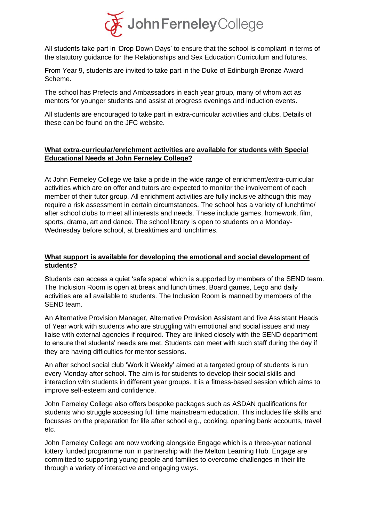

All students take part in 'Drop Down Days' to ensure that the school is compliant in terms of the statutory guidance for the Relationships and Sex Education Curriculum and futures.

From Year 9, students are invited to take part in the Duke of Edinburgh Bronze Award Scheme.

The school has Prefects and Ambassadors in each year group, many of whom act as mentors for younger students and assist at progress evenings and induction events.

All students are encouraged to take part in extra-curricular activities and clubs. Details of these can be found on the JFC website.

## **What extra-curricular/enrichment activities are available for students with Special Educational Needs at John Ferneley College?**

At John Ferneley College we take a pride in the wide range of enrichment/extra-curricular activities which are on offer and tutors are expected to monitor the involvement of each member of their tutor group. All enrichment activities are fully inclusive although this may require a risk assessment in certain circumstances. The school has a variety of lunchtime/ after school clubs to meet all interests and needs. These include games, homework, film, sports, drama, art and dance. The school library is open to students on a Monday-Wednesday before school, at breaktimes and lunchtimes.

# **What support is available for developing the emotional and social development of students?**

Students can access a quiet 'safe space' which is supported by members of the SEND team. The Inclusion Room is open at break and lunch times. Board games, Lego and daily activities are all available to students. The Inclusion Room is manned by members of the SEND team.

An Alternative Provision Manager, Alternative Provision Assistant and five Assistant Heads of Year work with students who are struggling with emotional and social issues and may liaise with external agencies if required. They are linked closely with the SEND department to ensure that students' needs are met. Students can meet with such staff during the day if they are having difficulties for mentor sessions.

An after school social club 'Work it Weekly' aimed at a targeted group of students is run every Monday after school. The aim is for students to develop their social skills and interaction with students in different year groups. It is a fitness-based session which aims to improve self-esteem and confidence.

John Ferneley College also offers bespoke packages such as ASDAN qualifications for students who struggle accessing full time mainstream education. This includes life skills and focusses on the preparation for life after school e.g., cooking, opening bank accounts, travel etc.

John Ferneley College are now working alongside Engage which is a three-year national lottery funded programme run in partnership with the Melton Learning Hub. Engage are committed to supporting young people and families to overcome challenges in their life through a variety of interactive and engaging ways.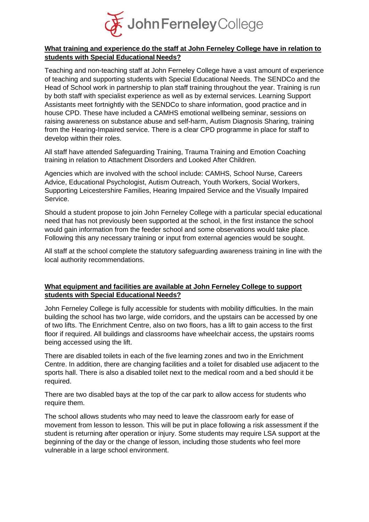

## **What training and experience do the staff at John Ferneley College have in relation to students with Special Educational Needs?**

Teaching and non-teaching staff at John Ferneley College have a vast amount of experience of teaching and supporting students with Special Educational Needs. The SENDCo and the Head of School work in partnership to plan staff training throughout the year. Training is run by both staff with specialist experience as well as by external services. Learning Support Assistants meet fortnightly with the SENDCo to share information, good practice and in house CPD. These have included a CAMHS emotional wellbeing seminar, sessions on raising awareness on substance abuse and self-harm, Autism Diagnosis Sharing, training from the Hearing-Impaired service. There is a clear CPD programme in place for staff to develop within their roles.

All staff have attended Safeguarding Training, Trauma Training and Emotion Coaching training in relation to Attachment Disorders and Looked After Children.

Agencies which are involved with the school include: CAMHS, School Nurse, Careers Advice, Educational Psychologist, Autism Outreach, Youth Workers, Social Workers, Supporting Leicestershire Families, Hearing Impaired Service and the Visually Impaired Service.

Should a student propose to join John Ferneley College with a particular special educational need that has not previously been supported at the school, in the first instance the school would gain information from the feeder school and some observations would take place. Following this any necessary training or input from external agencies would be sought.

All staff at the school complete the statutory safeguarding awareness training in line with the local authority recommendations.

## **What equipment and facilities are available at John Ferneley College to support students with Special Educational Needs?**

John Ferneley College is fully accessible for students with mobility difficulties. In the main building the school has two large, wide corridors, and the upstairs can be accessed by one of two lifts. The Enrichment Centre, also on two floors, has a lift to gain access to the first floor if required. All buildings and classrooms have wheelchair access, the upstairs rooms being accessed using the lift.

There are disabled toilets in each of the five learning zones and two in the Enrichment Centre. In addition, there are changing facilities and a toilet for disabled use adjacent to the sports hall. There is also a disabled toilet next to the medical room and a bed should it be required.

There are two disabled bays at the top of the car park to allow access for students who require them.

The school allows students who may need to leave the classroom early for ease of movement from lesson to lesson. This will be put in place following a risk assessment if the student is returning after operation or injury. Some students may require LSA support at the beginning of the day or the change of lesson, including those students who feel more vulnerable in a large school environment.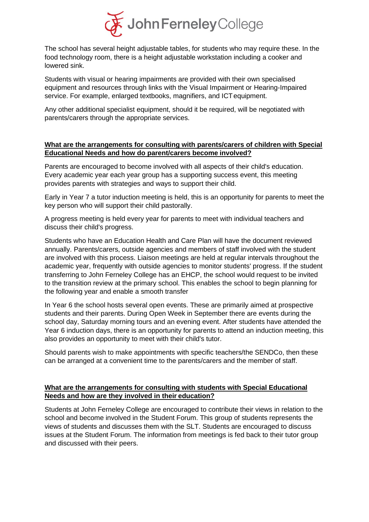

The school has several height adjustable tables, for students who may require these. In the food technology room, there is a height adjustable workstation including a cooker and lowered sink.

Students with visual or hearing impairments are provided with their own specialised equipment and resources through links with the Visual Impairment or Hearing-Impaired service. For example, enlarged textbooks, magnifiers, and ICTequipment.

Any other additional specialist equipment, should it be required, will be negotiated with parents/carers through the appropriate services.

## **What are the arrangements for consulting with parents/carers of children with Special Educational Needs and how do parent/carers become involved?**

Parents are encouraged to become involved with all aspects of their child's education. Every academic year each year group has a supporting success event, this meeting provides parents with strategies and ways to support their child.

Early in Year 7 a tutor induction meeting is held, this is an opportunity for parents to meet the key person who will support their child pastorally.

A progress meeting is held every year for parents to meet with individual teachers and discuss their child's progress.

Students who have an Education Health and Care Plan will have the document reviewed annually. Parents/carers, outside agencies and members of staff involved with the student are involved with this process. Liaison meetings are held at regular intervals throughout the academic year, frequently with outside agencies to monitor students' progress. If the student transferring to John Ferneley College has an EHCP, the school would request to be invited to the transition review at the primary school. This enables the school to begin planning for the following year and enable a smooth transfer

In Year 6 the school hosts several open events. These are primarily aimed at prospective students and their parents. During Open Week in September there are events during the school day, Saturday morning tours and an evening event. After students have attended the Year 6 induction days, there is an opportunity for parents to attend an induction meeting, this also provides an opportunity to meet with their child's tutor.

Should parents wish to make appointments with specific teachers/the SENDCo, then these can be arranged at a convenient time to the parents/carers and the member of staff.

## **What are the arrangements for consulting with students with Special Educational Needs and how are they involved in their education?**

Students at John Ferneley College are encouraged to contribute their views in relation to the school and become involved in the Student Forum. This group of students represents the views of students and discusses them with the SLT. Students are encouraged to discuss issues at the Student Forum. The information from meetings is fed back to their tutor group and discussed with their peers.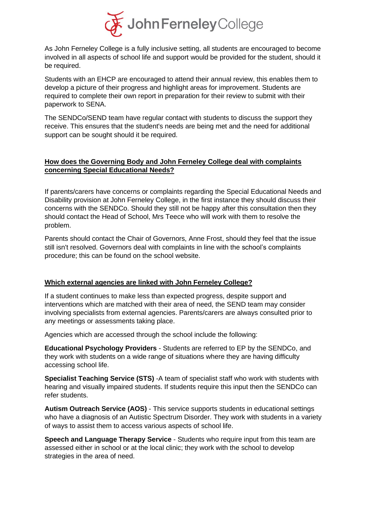

As John Ferneley College is a fully inclusive setting, all students are encouraged to become involved in all aspects of school life and support would be provided for the student, should it be required.

Students with an EHCP are encouraged to attend their annual review, this enables them to develop a picture of their progress and highlight areas for improvement. Students are required to complete their own report in preparation for their review to submit with their paperwork to SENA.

The SENDCo/SEND team have regular contact with students to discuss the support they receive. This ensures that the student's needs are being met and the need for additional support can be sought should it be required.

## **How does the Governing Body and John Ferneley College deal with complaints concerning Special Educational Needs?**

If parents/carers have concerns or complaints regarding the Special Educational Needs and Disability provision at John Ferneley College, in the first instance they should discuss their concerns with the SENDCo. Should they still not be happy after this consultation then they should contact the Head of School, Mrs Teece who will work with them to resolve the problem.

Parents should contact the Chair of Governors, Anne Frost, should they feel that the issue still isn't resolved. Governors deal with complaints in line with the school's complaints procedure; this can be found on the school website.

#### **Which external agencies are linked with John Ferneley College?**

If a student continues to make less than expected progress, despite support and interventions which are matched with their area of need, the SEND team may consider involving specialists from external agencies. Parents/carers are always consulted prior to any meetings or assessments taking place.

Agencies which are accessed through the school include the following:

**Educational Psychology Providers** - Students are referred to EP by the SENDCo, and they work with students on a wide range of situations where they are having difficulty accessing school life.

**Specialist Teaching Service (STS)** -A team of specialist staff who work with students with hearing and visually impaired students. If students require this input then the SENDCo can refer students.

**Autism Outreach Service (AOS)** - This service supports students in educational settings who have a diagnosis of an Autistic Spectrum Disorder. They work with students in a variety of ways to assist them to access various aspects of school life.

**Speech and Language Therapy Service** - Students who require input from this team are assessed either in school or at the local clinic; they work with the school to develop strategies in the area of need.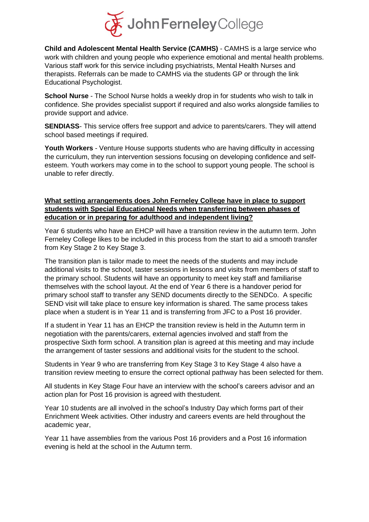

**Child and Adolescent Mental Health Service (CAMHS)** - CAMHS is a large service who work with children and young people who experience emotional and mental health problems. Various staff work for this service including psychiatrists, Mental Health Nurses and therapists. Referrals can be made to CAMHS via the students GP or through the link Educational Psychologist.

**School Nurse** - The School Nurse holds a weekly drop in for students who wish to talk in confidence. She provides specialist support if required and also works alongside families to provide support and advice.

**SENDIASS**- This service offers free support and advice to parents/carers. They will attend school based meetings if required.

**Youth Workers** - Venture House supports students who are having difficulty in accessing the curriculum, they run intervention sessions focusing on developing confidence and selfesteem. Youth workers may come in to the school to support young people. The school is unable to refer directly.

#### **What setting arrangements does John Ferneley College have in place to support students with Special Educational Needs when transferring between phases of education or in preparing for adulthood and independent living?**

Year 6 students who have an EHCP will have a transition review in the autumn term. John Ferneley College likes to be included in this process from the start to aid a smooth transfer from Key Stage 2 to Key Stage 3.

The transition plan is tailor made to meet the needs of the students and may include additional visits to the school, taster sessions in lessons and visits from members of staff to the primary school. Students will have an opportunity to meet key staff and familiarise themselves with the school layout. At the end of Year 6 there is a handover period for primary school staff to transfer any SEND documents directly to the SENDCo. A specific SEND visit will take place to ensure key information is shared. The same process takes place when a student is in Year 11 and is transferring from JFC to a Post 16 provider.

If a student in Year 11 has an EHCP the transition review is held in the Autumn term in negotiation with the parents/carers, external agencies involved and staff from the prospective Sixth form school. A transition plan is agreed at this meeting and may include the arrangement of taster sessions and additional visits for the student to the school.

Students in Year 9 who are transferring from Key Stage 3 to Key Stage 4 also have a transition review meeting to ensure the correct optional pathway has been selected for them.

All students in Key Stage Four have an interview with the school's careers advisor and an action plan for Post 16 provision is agreed with thestudent.

Year 10 students are all involved in the school's Industry Day which forms part of their Enrichment Week activities. Other industry and careers events are held throughout the academic year,

Year 11 have assemblies from the various Post 16 providers and a Post 16 information evening is held at the school in the Autumn term.